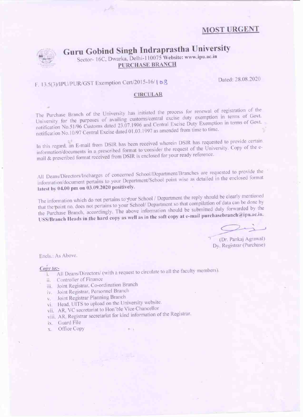# **MOST URGENT**



# Guru Gobind Singh Indraprastha University

Sector- 16C, Dwarka, Delhi-110075 Website: www.ipu.ac.in **PURCHASE BRANCH** 

# F. 13.5(3)/IPU/PUR/GST Exemption Cert/2015-16/168

Dated: 28.08.2020

#### **CIRCULAR**

The Purchase Branch of the University has initiated the process for renewal of registration of the University for the purposes of availing customs/central excise duty exemption in terms of Govt. notification No.51/96 Customs dated 23.07.1996 and Central Excise Duty Exemption in terms of Govt. notification No.10/97 Central Excise dated 01.03.1997 as amended from time to time.

In this regard, an E-mail from DSIR has been received wherein DSIR has requested to provide certain information/documents in a prescribed format to consider the request of the University. Copy of the email & prescribed format received from DSIR is enclosed for your ready reference.

All Deans/Directors/Incharges of concerned School/Department/Branches are requested to provide the information/document pertains to your Department/School point wise as detailed in the enclosed format latest by 04.00 pm on 03.09.2020 positively.

The information which do not pertains to your School / Department the reply should be clearly mentioned that the point no. does not pertains to your School/ Department so that compilation of data can be done by the Purchase Branch, accordingly. The above information should be submitted duly forwarded by the USS/Branch Heads in the hard copy as well as in the soft copy at e-mail purchasebranch@ipu.ac.in.

(Dr. Pankaj Agrawal) Dy. Registrar (Purchase)

Encls.: As Above.

#### Copy to:-

- i. All Deans/Directors/ (with a request to circulate to all the faculty members).
- ii. Controller of Finance
- iii. Joint Registrar, Co-ordination Branch
- iv. Joint Registrar, Personnel Branch
- Joint Registrar Planning Branch  $V_{\infty}$
- vi. Head, UITS to upload on the University website.
- vii. AR, VC secretariat to Hon'ble Vice Chancellor
- viii. AR, Registrar secretariat for kind information of the Registrar.
- ix. Guard File
- Office Copy X.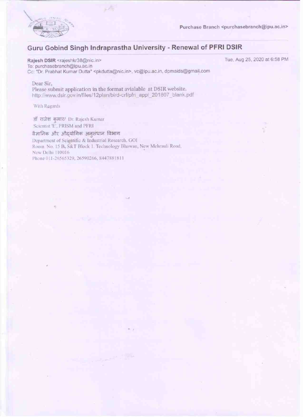

Purchase Branch <purchasebranch@ipu.ac.in>

# Guru Gobind Singh Indraprastha University - Renewal of PFRI DSIR

## Rajesh DSIR <rajeshkr38@nic.in>

To: purchasebranch@ipu.ac.in Cc: "Dr. Prabhat Kumar Dutta" <pkdutta@nic.in>, vc@ipu.ac.in, dpmaids@gmail.com

#### Tue, Aug 25, 2020 at 6:58 PM

### Dear Sir.

Please submit application in the format avialable at DSIR website. http://www.dsir.gov.in/files/12plan/bird-crf/pfri\_appl\_201807\_blank.pdf

 $\mathcal{A}$ 

With Regards

डॉ राजेश कमार/ Dr. Rajesh Kumar Scientist 'E', PRISM and PFRI

### वैज्ञानिक और औद्योगिक अनुसंधान विभाग

Department of Scientific & Industrial Research, GOI Room No. 15 B, S&T Block 1. Technology Bhawan, New Mehrauli Road, New Delhi 110016 Phone 011-26565329, 26590266, 8447881811

Support 200

528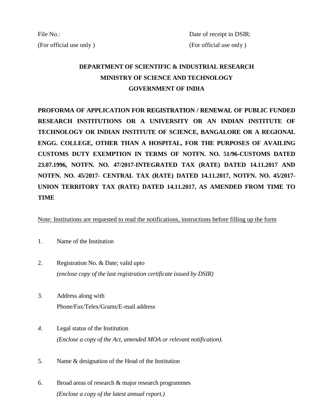# **DEPARTMENT OF SCIENTIFIC & INDUSTRIAL RESEARCH MINISTRY OF SCIENCE AND TECHNOLOGY GOVERNMENT OF INDIA**

**PROFORMA OF APPLICATION FOR REGISTRATION / RENEWAL OF PUBLIC FUNDED RESEARCH INSTITUTIONS OR A UNIVERSITY OR AN INDIAN INSTITUTE OF TECHNOLOGY OR INDIAN INSTITUTE OF SCIENCE, BANGALORE OR A REGIONAL ENGG. COLLEGE, OTHER THAN A HOSPITAL, FOR THE PURPOSES OF AVAILING CUSTOMS DUTY EXEMPTION IN TERMS OF NOTFN. NO. 51/96-CUSTOMS DATED 23.07.1996, NOTFN. NO. 47/2017-INTEGRATED TAX (RATE) DATED 14.11.2017 AND NOTFN. NO. 45/2017- CENTRAL TAX (RATE) DATED 14.11.2017, NOTFN. NO. 45/2017- UNION TERRITORY TAX (RATE) DATED 14.11.2017, AS AMENDED FROM TIME TO TIME**

Note: Institutions are requested to read the notifications, instructions before filling up the form

- 1. Name of the Institution
- 2. Registration No. & Date; valid upto *(enclose copy of the last registration certificate issued by DSIR)*
- 3. Address along with Phone/Fax/Telex/Grams/E-mail address
- *4.* Legal status of the Institution *(Enclose a copy of the Act, amended MOA or relevant notification).*
- 5. Name & designation of the Head of the Institution
- 6. Broad areas of research & major research programmes *(Enclose a copy of the latest annual report.)*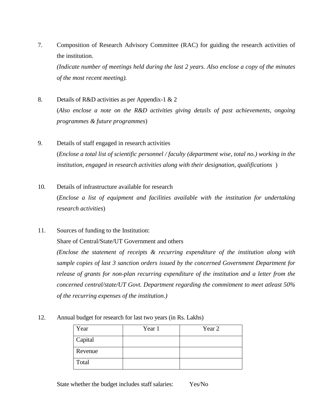7. Composition of Research Advisory Committee (RAC) for guiding the research activities of the institution.

*(Indicate number of meetings held during the last 2 years. Also enclose a copy of the minutes of the most recent meeting).*

- 8. Details of R&D activities as per Appendix-1 & 2 (*Also enclose a note on the R&D activities giving details of past achievements, ongoing programmes & future programmes*)
- 9. Details of staff engaged in research activities (*Enclose a total list of scientific personnel / faculty (department wise, total no.) working in the institution, engaged in research activities along with their designation, qualifications* )
- 10. Details of infrastructure available for research (*Enclose a list of equipment and facilities available with the institution for undertaking research activities*)
- 11. Sources of funding to the Institution: Share of Central/State/UT Government and others *(Enclose the statement of receipts & recurring expenditure of the institution along with*

*sample copies of last 3 sanction orders issued by the concerned Government Department for release of grants for non-plan recurring expenditure of the institution and a letter from the concerned central/state/UT Govt. Department regarding the commitment to meet atleast 50% of the recurring expenses of the institution.)*

### 12. Annual budget for research for last two years (in Rs. Lakhs)

| Year    | Year 1 | Year 2 |
|---------|--------|--------|
| Capital |        |        |
| Revenue |        |        |
| Total   |        |        |

State whether the budget includes staff salaries: Yes/No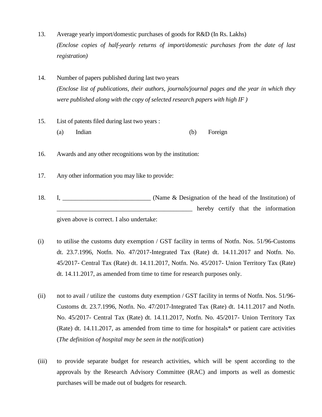- 13. Average yearly import/domestic purchases of goods for R&D (In Rs. Lakhs) *(Enclose copies of half-yearly returns of import/domestic purchases from the date of last registration)*
- 14. Number of papers published during last two years *(Enclose list of publications, their authors, journals/journal pages and the year in which they were published along with the copy of selected research papers with high IF )*
- 15. List of patents filed during last two years : (a) Indian (b) Foreign
- 16. Awards and any other recognitions won by the institution:
- 17. Any other information you may like to provide:
- 18. I, \_\_\_\_\_\_\_\_\_\_\_\_\_\_\_\_\_\_\_\_\_\_\_\_\_\_\_\_ (Name & Designation of the head of the Institution) of \_\_\_\_\_\_\_\_\_\_\_\_\_\_\_\_\_\_\_\_\_\_\_\_\_\_\_\_\_\_\_\_\_\_\_\_\_\_\_\_\_\_\_ hereby certify that the information given above is correct. I also undertake:
- (i) to utilise the customs duty exemption / GST facility in terms of Notfn. Nos. 51/96-Customs dt. 23.7.1996, Notfn. No. 47/2017-Integrated Tax (Rate) dt. 14.11.2017 and Notfn. No. 45/2017- Central Tax (Rate) dt. 14.11.2017, Notfn. No. 45/2017- Union Territory Tax (Rate) dt. 14.11.2017, as amended from time to time for research purposes only.
- (ii) not to avail / utilize the customs duty exemption / GST facility in terms of Notfn. Nos. 51/96- Customs dt. 23.7.1996, Notfn. No. 47/2017-Integrated Tax (Rate) dt. 14.11.2017 and Notfn. No. 45/2017- Central Tax (Rate) dt. 14.11.2017, Notfn. No. 45/2017- Union Territory Tax (Rate) dt. 14.11.2017, as amended from time to time for hospitals\* or patient care activities (*The definition of hospital may be seen in the notification*)
- (iii) to provide separate budget for research activities, which will be spent according to the approvals by the Research Advisory Committee (RAC) and imports as well as domestic purchases will be made out of budgets for research.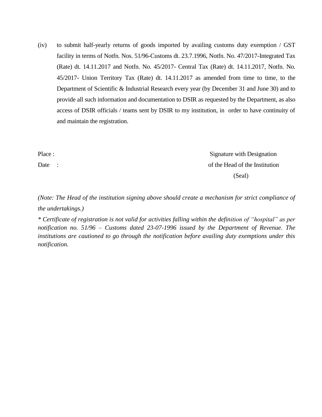(iv) to submit half-yearly returns of goods imported by availing customs duty exemption / GST facility in terms of Notfn. Nos. 51/96-Customs dt. 23.7.1996, Notfn. No. 47/2017-Integrated Tax (Rate) dt. 14.11.2017 and Notfn. No. 45/2017- Central Tax (Rate) dt. 14.11.2017, Notfn. No. 45/2017- Union Territory Tax (Rate) dt. 14.11.2017 as amended from time to time, to the Department of Scientific & Industrial Research every year (by December 31 and June 30) and to provide all such information and documentation to DSIR as requested by the Department, as also access of DSIR officials / teams sent by DSIR to my institution, in order to have continuity of and maintain the registration.

Place : Signature with Designation Date : of the Head of the Institution (Seal)

*(Note: The Head of the institution signing above should create a mechanism for strict compliance of the undertakings.)* 

*\* Certificate of registration is not valid for activities falling within the definition of "hospital" as per notification no. 51/96 – Customs dated 23-07-1996 issued by the Department of Revenue. The institutions are cautioned to go through the notification before availing duty exemptions under this notification.*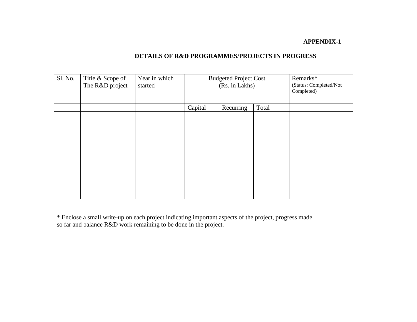### **APPENDIX-1**

## **DETAILS OF R&D PROGRAMMES/PROJECTS IN PROGRESS**

| Sl. No. | Title & Scope of<br>The R&D project | Year in which<br>started | <b>Budgeted Project Cost</b><br>(Rs. in Lakhs) |  |  | Remarks*<br>(Status: Completed/Not<br>Completed) |
|---------|-------------------------------------|--------------------------|------------------------------------------------|--|--|--------------------------------------------------|
|         |                                     |                          | Recurring<br>Capital<br>Total                  |  |  |                                                  |
|         |                                     |                          |                                                |  |  |                                                  |

\* Enclose a small write-up on each project indicating important aspects of the project, progress made so far and balance R&D work remaining to be done in the project.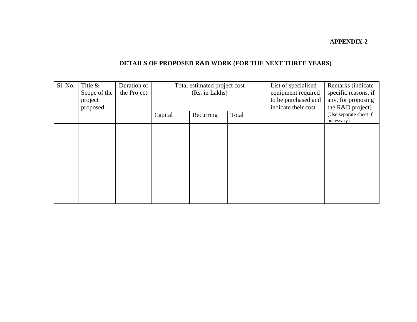### **APPENDIX-2**

# **DETAILS OF PROPOSED R&D WORK (FOR THE NEXT THREE YEARS)**

| Sl. No. | Title $\&$<br>Scope of the<br>project<br>proposed | Duration of<br>the Project | Total estimated project cost<br>(Rs. in Lakhs) |           |       | List of specialised<br>equipment required<br>to be purchased and<br>indicate their cost | Remarks (indicate<br>specific reasons, if<br>any, for proposing<br>the R&D project) |
|---------|---------------------------------------------------|----------------------------|------------------------------------------------|-----------|-------|-----------------------------------------------------------------------------------------|-------------------------------------------------------------------------------------|
|         |                                                   |                            | Capital                                        | Recurring | Total |                                                                                         | (Use separate sheet if<br>necessary)                                                |
|         |                                                   |                            |                                                |           |       |                                                                                         |                                                                                     |
|         |                                                   |                            |                                                |           |       |                                                                                         |                                                                                     |
|         |                                                   |                            |                                                |           |       |                                                                                         |                                                                                     |
|         |                                                   |                            |                                                |           |       |                                                                                         |                                                                                     |
|         |                                                   |                            |                                                |           |       |                                                                                         |                                                                                     |
|         |                                                   |                            |                                                |           |       |                                                                                         |                                                                                     |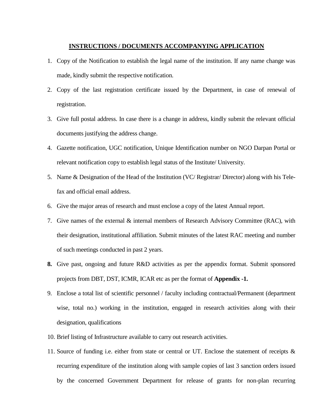### **INSTRUCTIONS / DOCUMENTS ACCOMPANYING APPLICATION**

- 1. Copy of the Notification to establish the legal name of the institution. If any name change was made, kindly submit the respective notification.
- 2. Copy of the last registration certificate issued by the Department, in case of renewal of registration.
- 3. Give full postal address. In case there is a change in address, kindly submit the relevant official documents justifying the address change.
- 4. Gazette notification, UGC notification, Unique Identification number on NGO Darpan Portal or relevant notification copy to establish legal status of the Institute/ University.
- 5. Name & Designation of the Head of the Institution (VC/ Registrar/ Director) along with his Telefax and official email address.
- 6. Give the major areas of research and must enclose a copy of the latest Annual report.
- 7. Give names of the external & internal members of Research Advisory Committee (RAC), with their designation, institutional affiliation. Submit minutes of the latest RAC meeting and number of such meetings conducted in past 2 years.
- **8.** Give past, ongoing and future R&D activities as per the appendix format. Submit sponsored projects from DBT, DST, ICMR, ICAR etc as per the format of **Appendix -1.**
- 9. Enclose a total list of scientific personnel / faculty including contractual/Permanent (department wise, total no.) working in the institution, engaged in research activities along with their designation, qualifications
- 10. Brief listing of Infrastructure available to carry out research activities.
- 11. Source of funding i.e. either from state or central or UT. Enclose the statement of receipts & recurring expenditure of the institution along with sample copies of last 3 sanction orders issued by the concerned Government Department for release of grants for non-plan recurring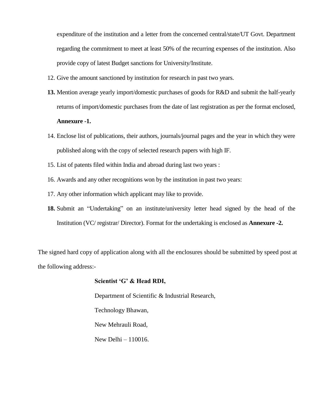expenditure of the institution and a letter from the concerned central/state/UT Govt. Department regarding the commitment to meet at least 50% of the recurring expenses of the institution. Also provide copy of latest Budget sanctions for University/Institute.

- 12. Give the amount sanctioned by institution for research in past two years.
- **13.** Mention average yearly import/domestic purchases of goods for R&D and submit the half-yearly returns of import/domestic purchases from the date of last registration as per the format enclosed, **Annexure -1.**
- 14. Enclose list of publications, their authors, journals/journal pages and the year in which they were published along with the copy of selected research papers with high IF.
- 15. List of patents filed within India and abroad during last two years :
- 16. Awards and any other recognitions won by the institution in past two years:
- 17. Any other information which applicant may like to provide.
- **18.** Submit an "Undertaking" on an institute/university letter head signed by the head of the Institution (VC/ registrar/ Director). Format for the undertaking is enclosed as **Annexure -2.**

The signed hard copy of application along with all the enclosures should be submitted by speed post at the following address:-

### **Scientist 'G' & Head RDI,**

Department of Scientific & Industrial Research, Technology Bhawan, New Mehrauli Road, New Delhi – 110016.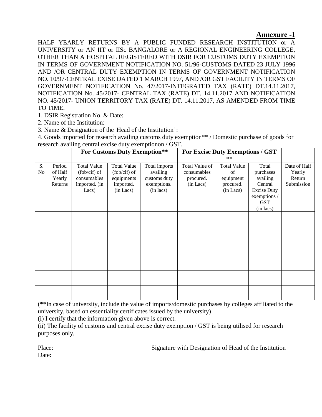### **Annexure -1**

HALF YEARLY RETURNS BY A PUBLIC FUNDED RESEARCH INSTITUTION or A UNIVERSITY or AN IIT or IISc BANGALORE or A REGIONAL ENGINEERING COLLEGE, OTHER THAN A HOSPITAL REGISTERED WITH DSIR FOR CUSTOMS DUTY EXEMPTION IN TERMS OF GOVERNMENT NOTIFICATION NO. 51/96-CUSTOMS DATED 23 JULY 1996 AND /OR CENTRAL DUTY EXEMPTION IN TERMS OF GOVERNMENT NOTIFICATION NO. 10/97-CENTRAL EXISE DATED 1 MARCH 1997, AND /OR GST FACILITY IN TERMS OF GOVERNMENT NOTIFICATION No. 47/2017-INTEGRATED TAX (RATE) DT.14.11.2017, NOTIFICATION No. 45/2017- CENTRAL TAX (RATE) DT. 14.11.2017 AND NOTIFICATION NO. 45/2017- UNION TERRITORY TAX (RATE) DT. 14.11.2017, AS AMENDED FROM TIME TO TIME.

1. DSIR Registration No. & Date:

2. Name of the Institution:

3. Name & Designation of the 'Head of the Institution' :

4. Goods imported for research availing customs duty exemption\*\* / Domestic purchase of goods for research availing central excise duty exemptionon / GST.

|                      |                                        | <b>For Customs Duty Exemption**</b>                                         |                                                                            |                                                                       | For Excise Duty Exemptions / GST<br>**                  |                                                                 |                                                                                                            |                                                |
|----------------------|----------------------------------------|-----------------------------------------------------------------------------|----------------------------------------------------------------------------|-----------------------------------------------------------------------|---------------------------------------------------------|-----------------------------------------------------------------|------------------------------------------------------------------------------------------------------------|------------------------------------------------|
| S.<br>N <sub>o</sub> | Period<br>of Half<br>Yearly<br>Returns | <b>Total Value</b><br>(fob/cif) of<br>consumables<br>imported. (in<br>Lacs) | <b>Total Value</b><br>(fob/cif) of<br>equipments<br>imported.<br>(in Lacs) | Total imports<br>availing<br>customs duty<br>exemptions.<br>(in lacs) | Total Value of<br>consumables<br>procured.<br>(in Lacs) | <b>Total Value</b><br>of<br>equipment<br>procured.<br>(in Lacs) | Total<br>purchases<br>availing<br>Central<br><b>Excise Duty</b><br>exemptions /<br><b>GST</b><br>(in lacs) | Date of Half<br>Yearly<br>Return<br>Submission |
|                      |                                        |                                                                             |                                                                            |                                                                       |                                                         |                                                                 |                                                                                                            |                                                |
|                      |                                        |                                                                             |                                                                            |                                                                       |                                                         |                                                                 |                                                                                                            |                                                |
|                      |                                        |                                                                             |                                                                            |                                                                       |                                                         |                                                                 |                                                                                                            |                                                |
|                      |                                        |                                                                             |                                                                            |                                                                       |                                                         |                                                                 |                                                                                                            |                                                |
|                      |                                        |                                                                             |                                                                            |                                                                       |                                                         |                                                                 |                                                                                                            |                                                |
|                      |                                        |                                                                             |                                                                            |                                                                       |                                                         |                                                                 |                                                                                                            |                                                |

(\*\*In case of university, include the value of imports/domestic purchases by colleges affiliated to the university, based on essentiality certificates issued by the university)

(i) I certify that the information given above is correct.

(ii) The facility of customs and central excise duty exemption / GST is being utilised for research purposes only,

Place: Signature with Designation of Head of the Institution

Date: